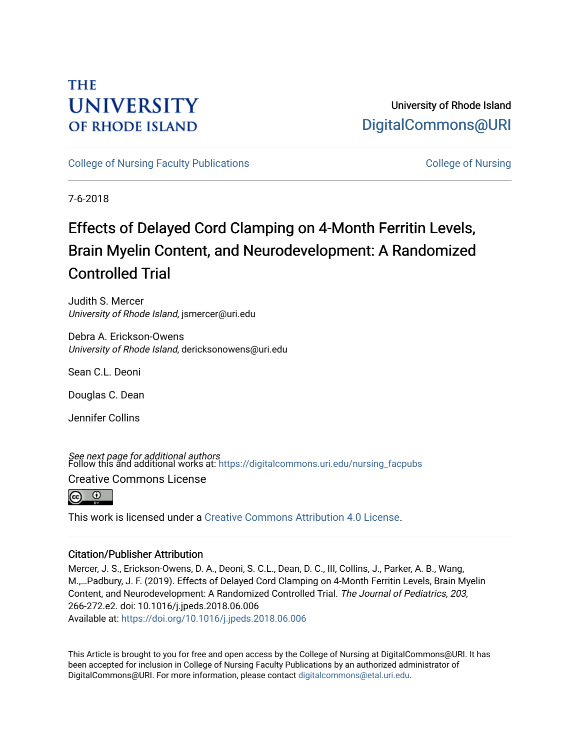# **THE UNIVERSITY OF RHODE ISLAND**

University of Rhode Island [DigitalCommons@URI](https://digitalcommons.uri.edu/) 

[College of Nursing Faculty Publications](https://digitalcommons.uri.edu/nursing_facpubs) **College of Nursing** College of Nursing

7-6-2018

# Effects of Delayed Cord Clamping on 4-Month Ferritin Levels, Brain Myelin Content, and Neurodevelopment: A Randomized Controlled Trial

Judith S. Mercer University of Rhode Island, jsmercer@uri.edu

Debra A. Erickson-Owens University of Rhode Island, dericksonowens@uri.edu

Sean C.L. Deoni

Douglas C. Dean

Jennifer Collins

**See next page for additional authors**<br>Follow this and additional works at: https://digitalcommons.uri.edu/nursing\_facpubs

Creative Commons License



This work is licensed under a [Creative Commons Attribution 4.0 License](https://creativecommons.org/licenses/by/4.0/).

# Citation/Publisher Attribution

Mercer, J. S., Erickson-Owens, D. A., Deoni, S. C.L., Dean, D. C., III, Collins, J., Parker, A. B., Wang, M.,…Padbury, J. F. (2019). Effects of Delayed Cord Clamping on 4-Month Ferritin Levels, Brain Myelin Content, and Neurodevelopment: A Randomized Controlled Trial. The Journal of Pediatrics, 203, 266-272.e2. doi: 10.1016/j.jpeds.2018.06.006 Available at:<https://doi.org/10.1016/j.jpeds.2018.06.006>

This Article is brought to you for free and open access by the College of Nursing at DigitalCommons@URI. It has been accepted for inclusion in College of Nursing Faculty Publications by an authorized administrator of DigitalCommons@URI. For more information, please contact [digitalcommons@etal.uri.edu.](mailto:digitalcommons@etal.uri.edu)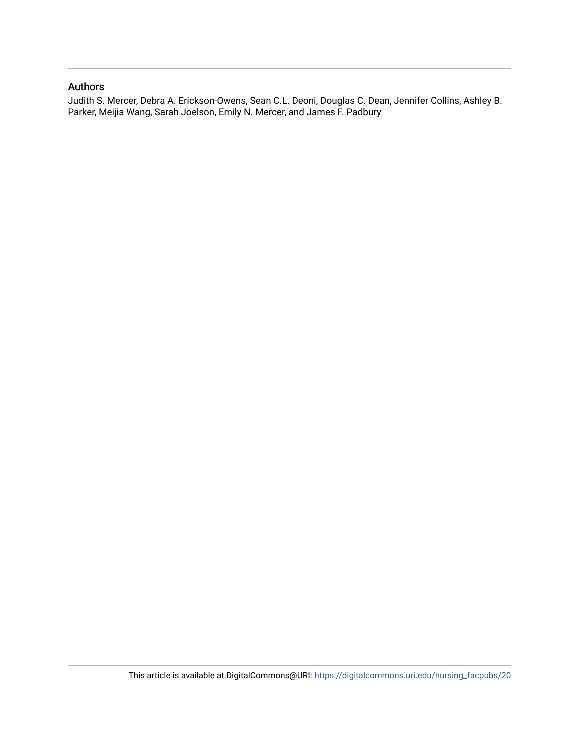# Authors

Judith S. Mercer, Debra A. Erickson-Owens, Sean C.L. Deoni, Douglas C. Dean, Jennifer Collins, Ashley B. Parker, Meijia Wang, Sarah Joelson, Emily N. Mercer, and James F. Padbury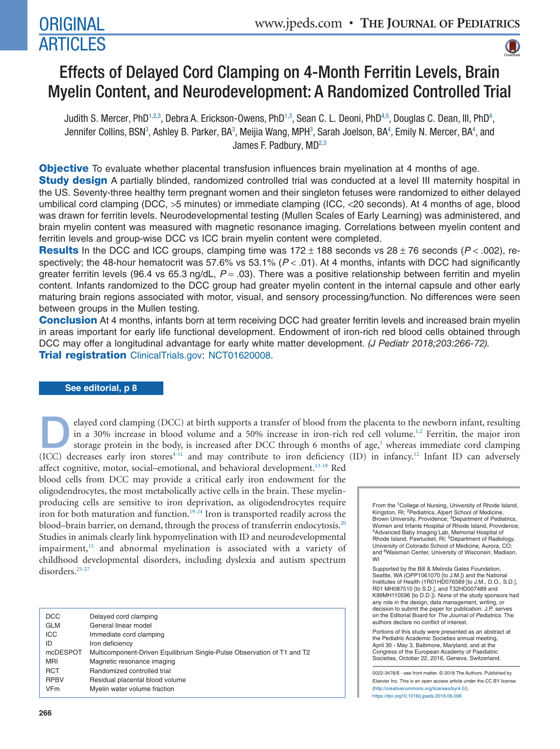# ARTICLES



# Effects of Delayed Cord Clamping on 4-Month Ferritin Levels, Brain Myelin Content, and Neurodevelopment: A Randomized Controlled Trial

Judith S. Mercer, PhD<sup>1,[2](#page-2-1)[,3](#page-2-2)</sup>, Debra A. Erickson-Owens, PhD<sup>1,3</sup>, Sean C. L. Deoni, PhD<sup>4,[5](#page-2-4)</sup>, Douglas C. Dean, III, PhD<sup>6</sup>, Jennifer Collins, BSN<sup>3</sup>, Ashley B. Parker, BA<sup>3</sup>, Meijia Wang, MPH<sup>3</sup>, Sarah Joelson, BA<sup>4</sup>, Emily N. Mercer, BA<sup>4</sup>, and James F. Padbury,  $MD<sup>2,3</sup>$  $MD<sup>2,3</sup>$  $MD<sup>2,3</sup>$ 

**Objective** To evaluate whether placental transfusion influences brain myelination at 4 months of age. Study design A partially blinded, randomized controlled trial was conducted at a level III maternity hospital in the US. Seventy-three healthy term pregnant women and their singleton fetuses were randomized to either delayed umbilical cord clamping (DCC, >5 minutes) or immediate clamping (ICC, <20 seconds). At 4 months of age, blood was drawn for ferritin levels. Neurodevelopmental testing (Mullen Scales of Early Learning) was administered, and brain myelin content was measured with magnetic resonance imaging. Correlations between myelin content and ferritin levels and group-wise DCC vs ICC brain myelin content were completed.

**Results** In the DCC and ICC groups, clamping time was  $172 \pm 188$  seconds vs  $28 \pm 76$  seconds ( $P < .002$ ), respectively; the 48-hour hematocrit was 57.6% vs 53.1% (*P* < .01). At 4 months, infants with DCC had significantly greater ferritin levels (96.4 vs 65.3 ng/dL, *P* = .03). There was a positive relationship between ferritin and myelin content. Infants randomized to the DCC group had greater myelin content in the internal capsule and other early maturing brain regions associated with motor, visual, and sensory processing/function. No differences were seen between groups in the Mullen testing.

**Conclusion** At 4 months, infants born at term receiving DCC had greater ferritin levels and increased brain myelin in areas important for early life functional development. Endowment of iron-rich red blood cells obtained through DCC may offer a longitudinal advantage for early white matter development. (J Pediatr 2018;203:266-72). **Trial registration** [ClinicalTrials.gov:](http://ClinicalTrials.gov) NCT01620008.

## **See editorial, p 8**

elayed cord clamping (DCC) at birth supports a transfer of blood from the placenta to the newborn infant, resulting in a 30% increase in blood volume and a 50% increase in iron-rich red cell volume.<sup>1,2</sup> Ferritin, the major iron storage protein in the body, is increased after DCC through 6 months of age,<sup>3</sup> whereas immediate cord clamping (ICC) decreases early iron stores<sup>4-11</sup> and may contribute to iron deficiency (ID) in infancy.<sup>12</sup> Infant ID can adversely

affect cognitive, motor, social–emotional, and behavioral development.<sup>13-18</sup> Red blood cells from DCC may provide a critical early iron endowment for the oligodendrocytes, the most metabolically active cells in the brain. These myelinproducing cells are sensitive to iron deprivation, as oligodendrocytes require iron for both maturation and function.<sup>19-24</sup> Iron is transported readily across the blood–brain barrier, on demand, through the process of transferrin endocytosis.<sup>20</sup> Studies in animals clearly link hypomyelination with ID and neurodevelopmental impairment,<sup>15</sup> and abnormal myelination is associated with a variety of childhood developmental disorders, including dyslexia and autism spectrum disorders.<sup>25-27</sup>

| <b>DCC</b>  | Delayed cord clamping                                                   |
|-------------|-------------------------------------------------------------------------|
| <b>GLM</b>  | General linear model                                                    |
| <b>ICC</b>  | Immediate cord clamping                                                 |
| ID          | Iron deficiency                                                         |
| mcDESPOT    | Multicomponent-Driven Equilibrium Single-Pulse Observation of T1 and T2 |
| <b>MRI</b>  | Magnetic resonance imaging                                              |
| <b>RCT</b>  | Randomized controlled trial                                             |
| <b>RPBV</b> | Residual placental blood volume                                         |
| <b>VFm</b>  | Myelin water volume fraction                                            |
|             |                                                                         |

<span id="page-2-4"></span><span id="page-2-3"></span><span id="page-2-2"></span><span id="page-2-1"></span><span id="page-2-0"></span>From the <sup>1</sup>College of Nursing, University of Rhode Island,<br>Kingston, RI; <sup>2</sup>Pediatrics, Alpert School of Medicine, Brown University, Providence; <sup>3</sup>Department of Pediatrics, Women and Infants Hospital of Rhode Island, Providence; 4Advanced Baby Imaging Lab, Memorial Hospital of Rhode Island, Pawtucket, RI; <sup>5</sup>Department of Radiology, University of Colorado School of Medicine, Aurora, CO; and <sup>6</sup>Waisman Center, University of Wisconsin, Madison, WI

<span id="page-2-5"></span>Supported by the Bill & Melinda Gates Foundation, Seattle, WA (OPP1061070 [to J.M.]) and the National Institutes of Health (1R01HD076589 [to J.M., D.O., S.D.], R01 MH087510 [to S.D.], and T32HD007489 and K99MH110596 [to D.D.]). None of the study sponsors had any role in the design, data management, writing, or decision to submit the paper for publication. J.P. serves on the Editorial Board for *The Journal of Pediatrics*. The authors declare no conflict of interest.

Portions of this study were presented as an abstract at the Pediatric Academic Societies annual meeting, April 30 - May 3, Baltimore, Maryland, and at the Congress of the European Academy of Paediatric Societies, October 22, 2016, Geneva, Switzerland.

0022-3476/\$ - see front matter. © 2018 The Authors. Published by Elsevier Inc. This is an open access article under the CC BY license (http://creativecommons.org/licenses/by/4.0/). https://doi.org10.1016/j.jpeds.2018.06.006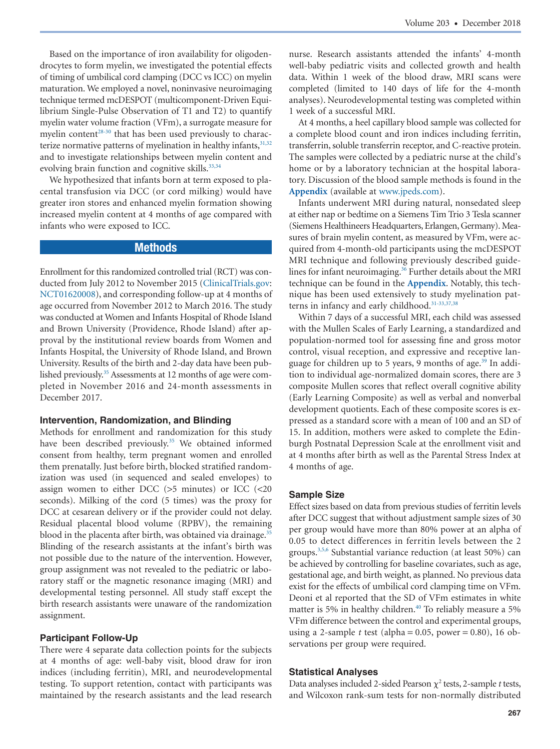Based on the importance of iron availability for oligodendrocytes to form myelin, we investigated the potential effects of timing of umbilical cord clamping (DCC vs ICC) on myelin maturation. We employed a novel, noninvasive neuroimaging technique termed mcDESPOT (multicomponent-Driven Equilibrium Single-Pulse Observation of T1 and T2) to quantify myelin water volume fraction (VFm), a surrogate measure for myelin content $28-30$  that has been used previously to characterize normative patterns of myelination in healthy infants,  $31,32$ and to investigate relationships between myelin content and evolving brain function and cognitive skills.<sup>33,34</sup>

We hypothesized that infants born at term exposed to placental transfusion via DCC (or cord milking) would have greater iron stores and enhanced myelin formation showing increased myelin content at 4 months of age compared with infants who were exposed to ICC.

# Methods

Enrollment for this randomized controlled trial (RCT) was conducted from July 2012 to November 2015 [\(ClinicalTrials.gov:](http://ClinicalTrials.gov) NCT01620008), and corresponding follow-up at 4 months of age occurred from November 2012 to March 2016. The study was conducted at Women and Infants Hospital of Rhode Island and Brown University (Providence, Rhode Island) after approval by the institutional review boards from Women and Infants Hospital, the University of Rhode Island, and Brown University. Results of the birth and 2-day data have been published previously.<sup>35</sup> Assessments at 12 months of age were completed in November 2016 and 24-month assessments in December 2017.

#### **Intervention, Randomization, and Blinding**

Methods for enrollment and randomization for this study have been described previously.<sup>35</sup> We obtained informed consent from healthy, term pregnant women and enrolled them prenatally. Just before birth, blocked stratified randomization was used (in sequenced and sealed envelopes) to assign women to either DCC (>5 minutes) or ICC (<20 seconds). Milking of the cord (5 times) was the proxy for DCC at cesarean delivery or if the provider could not delay. Residual placental blood volume (RPBV), the remaining blood in the placenta after birth, was obtained via drainage.<sup>35</sup> Blinding of the research assistants at the infant's birth was not possible due to the nature of the intervention. However, group assignment was not revealed to the pediatric or laboratory staff or the magnetic resonance imaging (MRI) and developmental testing personnel. All study staff except the birth research assistants were unaware of the randomization assignment.

#### **Participant Follow-Up**

There were 4 separate data collection points for the subjects at 4 months of age: well-baby visit, blood draw for iron indices (including ferritin), MRI, and neurodevelopmental testing. To support retention, contact with participants was maintained by the research assistants and the lead research nurse. Research assistants attended the infants' 4-month well-baby pediatric visits and collected growth and health data. Within 1 week of the blood draw, MRI scans were completed (limited to 140 days of life for the 4-month analyses). Neurodevelopmental testing was completed within 1 week of a successful MRI.

At 4 months, a heel capillary blood sample was collected for a complete blood count and iron indices including ferritin, transferrin, soluble transferrin receptor, and C-reactive protein. The samples were collected by a pediatric nurse at the child's home or by a laboratory technician at the hospital laboratory. Discussion of the blood sample methods is found in the **Appendix** (available at [www.jpeds.com\)](http://www.jpeds.com).

Infants underwent MRI during natural, nonsedated sleep at either nap or bedtime on a Siemens Tim Trio 3 Tesla scanner (Siemens Healthineers Headquarters, Erlangen, Germany). Measures of brain myelin content, as measured by VFm, were acquired from 4-month-old participants using the mcDESPOT MRI technique and following previously described guidelines for infant neuroimaging.<sup>36</sup> Further details about the MRI technique can be found in the **Appendix**. Notably, this technique has been used extensively to study myelination patterns in infancy and early childhood.<sup>31-33,37,38</sup>

Within 7 days of a successful MRI, each child was assessed with the Mullen Scales of Early Learning, a standardized and population-normed tool for assessing fine and gross motor control, visual reception, and expressive and receptive language for children up to 5 years, 9 months of age.<sup>39</sup> In addition to individual age-normalized domain scores, there are 3 composite Mullen scores that reflect overall cognitive ability (Early Learning Composite) as well as verbal and nonverbal development quotients. Each of these composite scores is expressed as a standard score with a mean of 100 and an SD of 15. In addition, mothers were asked to complete the Edinburgh Postnatal Depression Scale at the enrollment visit and at 4 months after birth as well as the Parental Stress Index at 4 months of age.

#### **Sample Size**

Effect sizes based on data from previous studies of ferritin levels after DCC suggest that without adjustment sample sizes of 30 per group would have more than 80% power at an alpha of 0.05 to detect differences in ferritin levels between the 2 groups[.3,5,6](#page-7-1) Substantial variance reduction (at least 50%) can be achieved by controlling for baseline covariates, such as age, gestational age, and birth weight, as planned. No previous data exist for the effects of umbilical cord clamping time on VFm. Deoni et al reported that the SD of VFm estimates in white matter is 5% in healthy children.<sup>40</sup> To reliably measure a 5% VFm difference between the control and experimental groups, using a 2-sample  $t$  test (alpha = 0.05, power = 0.80), 16 observations per group were required.

#### **Statistical Analyses**

Data analyses included 2-sided Pearson  $\chi^2$  tests, 2-sample *t* tests, and Wilcoxon rank-sum tests for non-normally distributed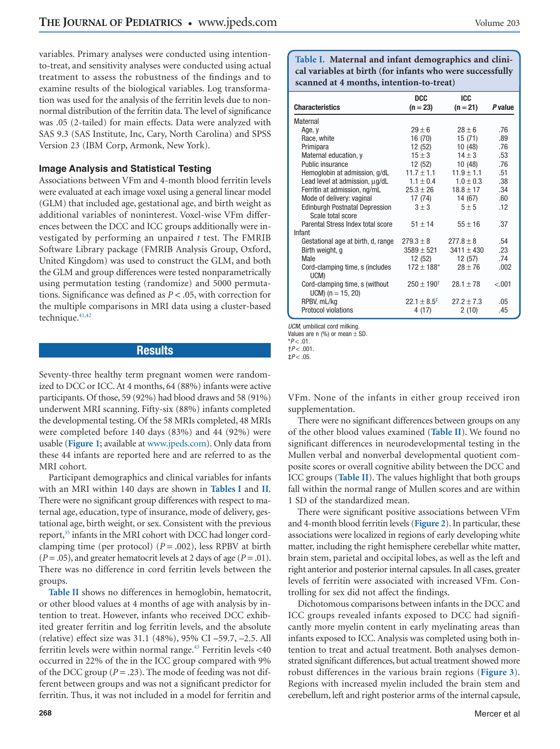variables. Primary analyses were conducted using intentionto-treat, and sensitivity analyses were conducted using actual treatment to assess the robustness of the findings and to examine results of the biological variables. Log transformation was used for the analysis of the ferritin levels due to nonnormal distribution of the ferritin data. The level of significance was .05 (2-tailed) for main effects. Data were analyzed with SAS 9.3 (SAS Institute, Inc, Cary, North Carolina) and SPSS Version 23 (IBM Corp, Armonk, New York).

#### **Image Analysis and Statistical Testing**

Associations between VFm and 4-month blood ferritin levels were evaluated at each image voxel using a general linear model (GLM) that included age, gestational age, and birth weight as additional variables of noninterest. Voxel-wise VFm differences between the DCC and ICC groups additionally were investigated by performing an unpaired *t* test. The FMRIB Software Library package (FMRIB Analysis Group, Oxford, United Kingdom) was used to construct the GLM, and both the GLM and group differences were tested nonparametrically using permutation testing (randomize) and 5000 permutations. Significance was defined as *P* < .05, with correction for the multiple comparisons in MRI data using a cluster-based technique.<sup>41,42</sup>

## Results

Seventy-three healthy term pregnant women were randomized to DCC or ICC. At 4 months, 64 (88%) infants were active participants. Of those, 59 (92%) had blood draws and 58 (91%) underwent MRI scanning. Fifty-six (88%) infants completed the developmental testing. Of the 58 MRIs completed, 48 MRIs were completed before 140 days (83%) and 44 (92%) were usable (**[Figure 1](#page-10-0)**; available at [www.jpeds.com\)](http://www.jpeds.com). Only data from these 44 infants are reported here and are referred to as the MRI cohort.

Participant demographics and clinical variables for infants with an MRI within 140 days are shown in **Tables I** and **[II](#page-5-0)**. There were no significant group differences with respect to maternal age, education, type of insurance, mode of delivery, gestational age, birth weight, or sex. Consistent with the previous report, $35$  infants in the MRI cohort with DCC had longer cordclamping time (per protocol)  $(P = .002)$ , less RPBV at birth  $(P = .05)$ , and greater hematocrit levels at 2 days of age  $(P = .01)$ . There was no difference in cord ferritin levels between the groups.

**[Table II](#page-5-0)** shows no differences in hemoglobin, hematocrit, or other blood values at 4 months of age with analysis by intention to treat. However, infants who received DCC exhibited greater ferritin and log ferritin levels, and the absolute (relative) effect size was 31.1 (48%), 95% CI –59.7, –2.5. All ferritin levels were within normal range. $43$  Ferritin levels <40 occurred in 22% of the in the ICC group compared with 9% of the DCC group ( $P = .23$ ). The mode of feeding was not different between groups and was not a significant predictor for ferritin. Thus, it was not included in a model for ferritin and

**Table I. Maternal and infant demographics and clinical variables at birth (for infants who were successfully scanned at 4 months, intention-to-treat)**

|                                                            | <b>DCC</b>              | ICC            |                |
|------------------------------------------------------------|-------------------------|----------------|----------------|
| <b>Characteristics</b>                                     | $(n = 23)$              | $(n = 21)$     | <b>P</b> value |
| Maternal                                                   |                         |                |                |
| Age, y                                                     | $29 \pm 6$              | $28 + 6$       | .76            |
| Race, white                                                | 16 (70)                 | 15 (71)        | .89            |
| Primipara                                                  | 12 (52)                 | 10 (48)        | .76            |
| Maternal education, y                                      | $15 \pm 3$              | $14 \pm 3$     | .53            |
| Public insurance                                           | 12 (52)                 | 10 (48)        | .76            |
| Hemoglobin at admission, g/dL                              | $11.7 \pm 1.1$          | $11.9 \pm 1.1$ | .51            |
| Lead level at admission, µg/dL                             | $1.1 \pm 0.4$           | $1.0 \pm 0.3$  | .38            |
| Ferritin at admission, ng/mL                               | $25.3 + 26$             | $18.8 \pm 17$  | .34            |
| Mode of delivery: vaginal                                  | 17 (74)                 | 14 (67)        | .60            |
| <b>Edinburgh Postnatal Depression</b><br>Scale total score | $3 \pm 3$               | $5 \pm 5$      | .12            |
| Parental Stress Index total score                          | $51 + 14$               | $55 \pm 16$    | .37            |
| Infant                                                     |                         |                |                |
| Gestational age at birth, d, range                         | $279.3 \pm 8$           | $277.8 + 8$    | .54            |
| Birth weight, g                                            | $3589 \pm 521$          | $3411 \pm 430$ | .23            |
| <b>Male</b>                                                | 12 (52)                 | 12 (57)        | .74            |
| Cord-clamping time, s (includes<br>UCM)                    | $172 \pm 188$ *         | $28 + 76$      | .002           |
| Cord-clamping time, s (without<br>$UCM$ ) (n = 15, 20)     | $250 \pm 190^{\dagger}$ | $28.1 + 78$    | $-.001$        |
| RPBV, mL/kg                                                | $22.1 + 8.5^{\ddagger}$ | $27.2 + 7.3$   | .05            |
| <b>Protocol violations</b>                                 | 4 (17)                  | 2(10)          | .45            |

UCM, umbilical cord milking.

Values are n  $(\%)$  or mean  $\pm$  SD.

<span id="page-4-0"></span> $*P < .01$ .

<span id="page-4-2"></span><span id="page-4-1"></span> $+P < .001$  $\pm P < .05$ .

VFm. None of the infants in either group received iron supplementation.

There were no significant differences between groups on any of the other blood values examined (**[Table II](#page-5-0)**). We found no significant differences in neurodevelopmental testing in the Mullen verbal and nonverbal developmental quotient composite scores or overall cognitive ability between the DCC and ICC groups (**[Table II](#page-5-0)**). The values highlight that both groups fall within the normal range of Mullen scores and are within 1 SD of the standardized mean.

There were significant positive associations between VFm and 4-month blood ferritin levels (**[Figure 2](#page-5-0)**). In particular, these associations were localized in regions of early developing white matter, including the right hemisphere cerebellar white matter, brain stem, parietal and occipital lobes, as well as the left and right anterior and posterior internal capsules. In all cases, greater levels of ferritin were associated with increased VFm. Controlling for sex did not affect the findings.

Dichotomous comparisons between infants in the DCC and ICC groups revealed infants exposed to DCC had significantly more myelin content in early myelinating areas than infants exposed to ICC. Analysis was completed using both intention to treat and actual treatment. Both analyses demonstrated significant differences, but actual treatment showed more robust differences in the various brain regions (**[Figure 3](#page-6-0)**). Regions with increased myelin included the brain stem and cerebellum, left and right posterior arms of the internal capsule,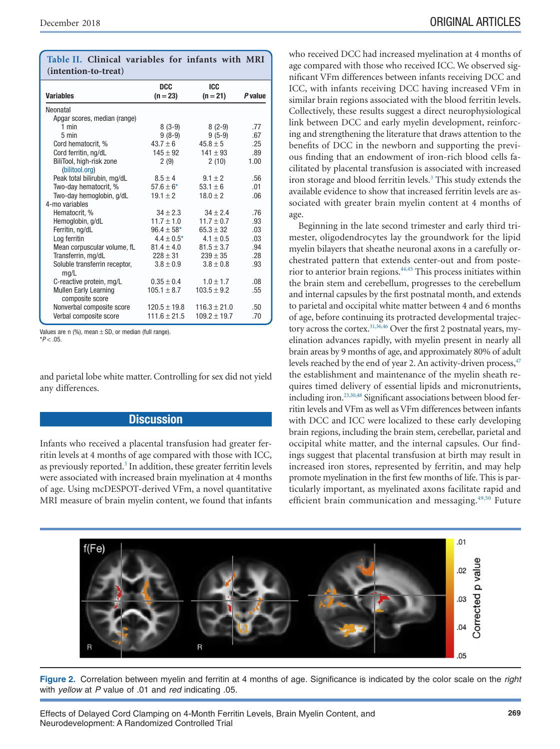| (intention-to-treat)                            |                  |                  |                |
|-------------------------------------------------|------------------|------------------|----------------|
|                                                 | <b>DCC</b>       | <b>ICC</b>       |                |
| <b>Variables</b>                                | $(n = 23)$       | $(n = 21)$       | <b>P</b> value |
| Neonatal                                        |                  |                  |                |
| Apgar scores, median (range)                    |                  |                  |                |
| $1$ min                                         | $8(3-9)$         | $8(2-9)$         | .77            |
| $5 \text{ min}$                                 | $9(8-9)$         | $9(5-9)$         | .67            |
| Cord hematocrit, %                              | $43.7 \pm 6$     | $45.8 \pm 5$     | .25            |
| Cord ferritin, ng/dL                            | $145 \pm 92$     | $141 \pm 93$     | .89            |
| BiliTool, high-risk zone                        | 2(9)             | 2(10)            | 1.00           |
| (bilitool.org)                                  |                  |                  |                |
| Peak total bilirubin, mg/dL                     | $8.5 \pm 4$      | $9.1 \pm 2$      | .56            |
| Two-day hematocrit, %                           | $57.6 \pm 6^*$   | $53.1 \pm 6$     | .01            |
| Two-day hemoglobin, g/dL                        | $19.1 \pm 2$     | $18.0 \pm 2$     | .06            |
| 4-mo variables                                  |                  |                  |                |
| Hematocrit, %                                   | $34 \pm 2.3$     | $34 + 2.4$       | .76            |
| Hemoglobin, g/dL                                | $11.7 \pm 1.0$   | $11.7 \pm 0.7$   | .93            |
| Ferritin, ng/dL                                 | $96.4 \pm 58*$   | $65.3 \pm 32$    | .03            |
| Log ferritin                                    | $4.4 \pm 0.5^*$  | $4.1 \pm 0.5$    | .03            |
| Mean corpuscular volume, fL                     | $81.4 \pm 4.0$   | $81.5 \pm 3.7$   | .94            |
| Transferrin, mg/dL                              | $228 \pm 31$     | $239 \pm 35$     | .28            |
| Soluble transferrin receptor,<br>mq/L           | $3.8 \pm 0.9$    | $3.8 \pm 0.8$    | .93            |
| C-reactive protein, mg/L                        | $0.35 \pm 0.4$   | $1.0 \pm 1.7$    | .08            |
| <b>Mullen Early Learning</b><br>composite score | $105.1 \pm 8.7$  | $103.5 \pm 9.2$  | .55            |
| Nonverbal composite score                       | $120.5 \pm 19.8$ | $116.3 \pm 21.0$ | .50            |
| Verbal composite score                          | $111.6 \pm 21.5$ | $109.2 \pm 19.7$ | .70            |

<span id="page-5-0"></span>**Table II. Clinical variables for infants with MRI**

<span id="page-5-1"></span>Values are n  $(\%)$ , mean  $\pm$  SD, or median (full range).  $*P < .05$ 

and parietal lobe white matter. Controlling for sex did not yield any differences.

# **Discussion**

Infants who received a placental transfusion had greater ferritin levels at 4 months of age compared with those with ICC, as previously reported.<sup>3</sup> In addition, these greater ferritin levels were associated with increased brain myelination at 4 months of age. Using mcDESPOT-derived VFm, a novel quantitative MRI measure of brain myelin content, we found that infants

who received DCC had increased myelination at 4 months of age compared with those who received ICC. We observed significant VFm differences between infants receiving DCC and ICC, with infants receiving DCC having increased VFm in similar brain regions associated with the blood ferritin levels. Collectively, these results suggest a direct neurophysiological link between DCC and early myelin development, reinforcing and strengthening the literature that draws attention to the benefits of DCC in the newborn and supporting the previous finding that an endowment of iron-rich blood cells facilitated by placental transfusion is associated with increased iron storage and blood ferritin levels.<sup>3</sup> This study extends the available evidence to show that increased ferritin levels are associated with greater brain myelin content at 4 months of age.

Beginning in the late second trimester and early third trimester, oligodendrocytes lay the groundwork for the lipid myelin bilayers that sheathe neuronal axons in a carefully orchestrated pattern that extends center-out and from posterior to anterior brain regions.<sup>44,45</sup> This process initiates within the brain stem and cerebellum, progresses to the cerebellum and internal capsules by the first postnatal month, and extends to parietal and occipital white matter between 4 and 6 months of age, before continuing its protracted developmental trajectory across the cortex.<sup>31,36,46</sup> Over the first 2 postnatal years, myelination advances rapidly, with myelin present in nearly all brain areas by 9 months of age, and approximately 80% of adult levels reached by the end of year 2. An activity-driven process, <sup>47</sup> the establishment and maintenance of the myelin sheath requires timed delivery of essential lipids and micronutrients, including iron.<sup>23,30,48</sup> Significant associations between blood ferritin levels and VFm as well as VFm differences between infants with DCC and ICC were localized to these early developing brain regions, including the brain stem, cerebellar, parietal and occipital white matter, and the internal capsules. Our findings suggest that placental transfusion at birth may result in increased iron stores, represented by ferritin, and may help promote myelination in the first few months of life. This is particularly important, as myelinated axons facilitate rapid and efficient brain communication and messaging.<sup>49,50</sup> Future



**Figure 2.** Correlation between myelin and ferritin at 4 months of age. Significance is indicated by the color scale on the *right* with *yellow* at *P* value of .01 and *red* indicating .05.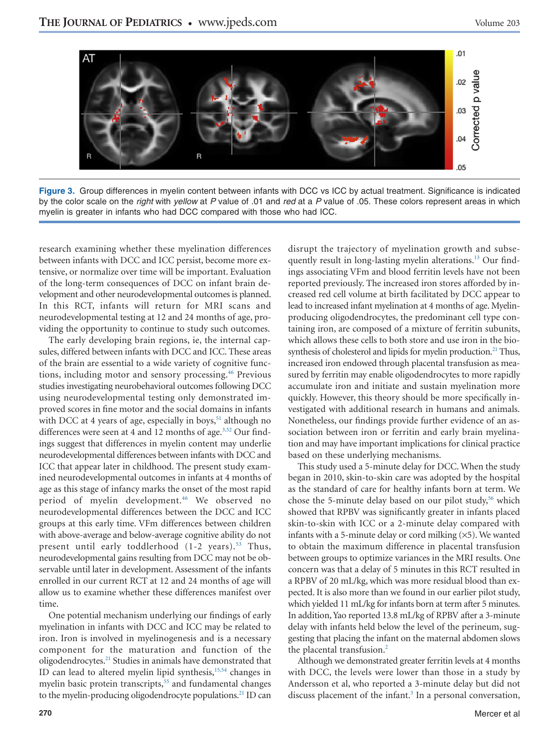<span id="page-6-0"></span>

**Figure 3.** Group differences in myelin content between infants with DCC vs ICC by actual treatment. Significance is indicated by the color scale on the *right* with *yellow* at *P* value of .01 and *red* at a *P* value of .05. These colors represent areas in which myelin is greater in infants who had DCC compared with those who had ICC.

research examining whether these myelination differences between infants with DCC and ICC persist, become more extensive, or normalize over time will be important. Evaluation of the long-term consequences of DCC on infant brain development and other neurodevelopmental outcomes is planned. In this RCT, infants will return for MRI scans and neurodevelopmental testing at 12 and 24 months of age, providing the opportunity to continue to study such outcomes.

The early developing brain regions, ie, the internal capsules, differed between infants with DCC and ICC. These areas of the brain are essential to a wide variety of cognitive functions, including motor and sensory processing.<sup>46</sup> Previous studies investigating neurobehavioral outcomes following DCC using neurodevelopmental testing only demonstrated improved scores in fine motor and the social domains in infants with DCC at 4 years of age, especially in boys,<sup>51</sup> although no differences were seen at 4 and 12 months of age. $3,52$  Our findings suggest that differences in myelin content may underlie neurodevelopmental differences between infants with DCC and ICC that appear later in childhood. The present study examined neurodevelopmental outcomes in infants at 4 months of age as this stage of infancy marks the onset of the most rapid period of myelin development.<sup>46</sup> We observed no neurodevelopmental differences between the DCC and ICC groups at this early time. VFm differences between children with above-average and below-average cognitive ability do not present until early toddlerhood  $(1-2 \text{ years})$ .<sup>53</sup> Thus, neurodevelopmental gains resulting from DCC may not be observable until later in development. Assessment of the infants enrolled in our current RCT at 12 and 24 months of age will allow us to examine whether these differences manifest over time.

One potential mechanism underlying our findings of early myelination in infants with DCC and ICC may be related to iron. Iron is involved in myelinogenesis and is a necessary component for the maturation and function of the oligodendrocytes.<sup>21</sup> Studies in animals have demonstrated that ID can lead to altered myelin lipid synthesis,<sup>15,54</sup> changes in myelin basic protein transcripts,<sup>55</sup> and fundamental changes to the myelin-producing oligodendrocyte populations.<sup>21</sup> ID can quently result in long-lasting myelin alterations.<sup>13</sup> Our findings associating VFm and blood ferritin levels have not been reported previously. The increased iron stores afforded by increased red cell volume at birth facilitated by DCC appear to lead to increased infant myelination at 4 months of age. Myelinproducing oligodendrocytes, the predominant cell type containing iron, are composed of a mixture of ferritin subunits, which allows these cells to both store and use iron in the biosynthesis of cholesterol and lipids for myelin production.<sup>21</sup> Thus, increased iron endowed through placental transfusion as measured by ferritin may enable oligodendrocytes to more rapidly accumulate iron and initiate and sustain myelination more quickly. However, this theory should be more specifically investigated with additional research in humans and animals. Nonetheless, our findings provide further evidence of an association between iron or ferritin and early brain myelination and may have important implications for clinical practice based on these underlying mechanisms. This study used a 5-minute delay for DCC. When the study

disrupt the trajectory of myelination growth and subse-

began in 2010, skin-to-skin care was adopted by the hospital as the standard of care for healthy infants born at term. We chose the 5-minute delay based on our pilot study,<sup>56</sup> which showed that RPBV was significantly greater in infants placed skin-to-skin with ICC or a 2-minute delay compared with infants with a 5-minute delay or cord milking  $(x5)$ . We wanted to obtain the maximum difference in placental transfusion between groups to optimize variances in the MRI results. One concern was that a delay of 5 minutes in this RCT resulted in a RPBV of 20 mL/kg, which was more residual blood than expected. It is also more than we found in our earlier pilot study, which yielded 11 mL/kg for infants born at term after 5 minutes. In addition, Yao reported 13.8 mL/kg of RPBV after a 3-minute delay with infants held below the level of the perineum, suggesting that placing the infant on the maternal abdomen slows the placental transfusion.<sup>2</sup>

Although we demonstrated greater ferritin levels at 4 months with DCC, the levels were lower than those in a study by Andersson et al, who reported a 3-minute delay but did not discuss placement of the infant.<sup>3</sup> In a personal conversation,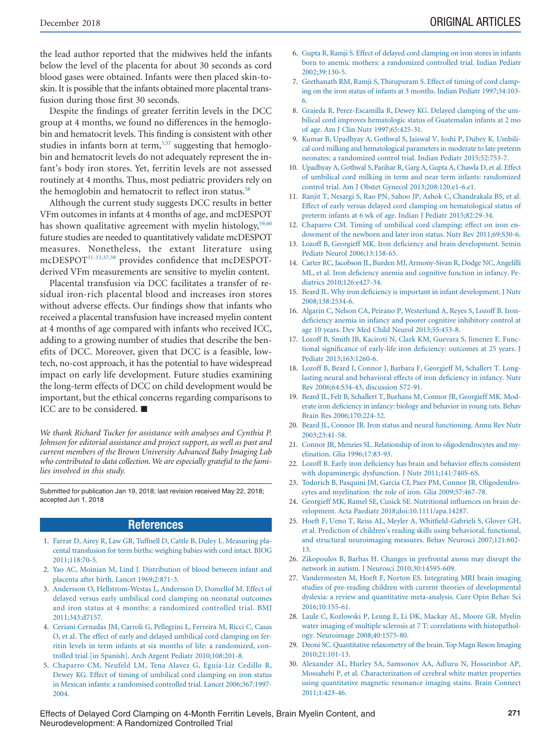the lead author reported that the midwives held the infants below the level of the placenta for about 30 seconds as cord blood gases were obtained. Infants were then placed skin-toskin. It is possible that the infants obtained more placental transfusion during those first 30 seconds.

Despite the findings of greater ferritin levels in the DCC group at 4 months, we found no differences in the hemoglobin and hematocrit levels. This finding is consistent with other studies in infants born at term, $3,57$  suggesting that hemoglobin and hematocrit levels do not adequately represent the infant's body iron stores. Yet, ferritin levels are not assessed routinely at 4 months. Thus, most pediatric providers rely on the hemoglobin and hematocrit to reflect iron status.<sup>58</sup>

Although the current study suggests DCC results in better VFm outcomes in infants at 4 months of age, and mcDESPOT has shown qualitative agreement with myelin histology,<sup>59,60</sup> future studies are needed to quantitatively validate mcDESPOT measures. Nonetheless, the extant literature using mcDESPO[T31-33,37,38](#page-8-0) provides confidence that mcDESPOTderived VFm measurements are sensitive to myelin content.

Placental transfusion via DCC facilitates a transfer of residual iron-rich placental blood and increases iron stores without adverse effects. Our findings show that infants who received a placental transfusion have increased myelin content at 4 months of age compared with infants who received ICC, adding to a growing number of studies that describe the benefits of DCC. Moreover, given that DCC is a feasible, lowtech, no-cost approach, it has the potential to have widespread impact on early life development. Future studies examining the long-term effects of DCC on child development would be important, but the ethical concerns regarding comparisons to ICC are to be considered. ■

*We thank Richard Tucker for assistance with analyses and Cynthia P. Johnson for editorial assistance and project support, as well as past and current members of the Brown University Advanced Baby Imaging Lab who contributed to data collection. We are especially grateful to the families involved in this study.*

Submitted for publication Jan 19, 2018; last revision received May 22, 2018; accepted Jun 1, 2018

#### **References**

- <span id="page-7-0"></span>1. [Farrar D, Airey R, Law GR, Tuffnell D, Cattle B, Duley L. Measuring pla](http://refhub.elsevier.com/S0022-3476(18)30775-3S0022-3476(18)31079-5/sr0010)[cental transfusion for term births: weighing babies with cord intact. BJOG](http://refhub.elsevier.com/S0022-3476(18)30775-3S0022-3476(18)31079-5/sr0010)  $2011 \cdot 118 \cdot 70 - 5$
- <span id="page-7-12"></span>2. [Yao AC, Moinian M, Lind J. Distribution of blood between infant and](http://refhub.elsevier.com/S0022-3476(18)30775-3S0022-3476(18)31079-5/sr0015) [placenta after birth. Lancet 1969;2:871-3.](http://refhub.elsevier.com/S0022-3476(18)30775-3S0022-3476(18)31079-5/sr0015)
- <span id="page-7-1"></span>3. [Andersson O, Hellstrom-Westas L, Andersson D, Domellof M. Effect of](http://refhub.elsevier.com/S0022-3476(18)30775-3S0022-3476(18)31079-5/sr0020) [delayed versus early umbilical cord clamping on neonatal outcomes](http://refhub.elsevier.com/S0022-3476(18)30775-3S0022-3476(18)31079-5/sr0020) [and iron status at 4 months: a randomized controlled trial. BMJ](http://refhub.elsevier.com/S0022-3476(18)30775-3S0022-3476(18)31079-5/sr0020) [2011;343:d7157.](http://refhub.elsevier.com/S0022-3476(18)30775-3S0022-3476(18)31079-5/sr0020)
- <span id="page-7-2"></span>4. [Ceriani Cernadas JM, Carroli G, Pellegrini L, Ferreira M, Ricci C, Casas](http://refhub.elsevier.com/S0022-3476(18)30775-3S0022-3476(18)31079-5/sr0025) [O, et al. The effect of early and delayed umbilical cord clamping on fer](http://refhub.elsevier.com/S0022-3476(18)30775-3S0022-3476(18)31079-5/sr0025)[ritin levels in term infants at six months of life: a randomized, con](http://refhub.elsevier.com/S0022-3476(18)30775-3S0022-3476(18)31079-5/sr0025)[trolled trial \[in Spanish\]. Arch Argent Pediatr 2010;108:201-8.](http://refhub.elsevier.com/S0022-3476(18)30775-3S0022-3476(18)31079-5/sr0025)
- <span id="page-7-13"></span>5. [Chaparro CM, Neufeld LM, Tena Alavez G, Eguia-Liz Cedillo R,](http://refhub.elsevier.com/S0022-3476(18)30775-3S0022-3476(18)31079-5/sr0030) [Dewey KG. Effect of timing of umbilical cord clamping on iron status](http://refhub.elsevier.com/S0022-3476(18)30775-3S0022-3476(18)31079-5/sr0030) [in Mexican infants: a randomised controlled trial. Lancet 2006;367:1997-](http://refhub.elsevier.com/S0022-3476(18)30775-3S0022-3476(18)31079-5/sr0030) [2004.](http://refhub.elsevier.com/S0022-3476(18)30775-3S0022-3476(18)31079-5/sr0030)
- <span id="page-7-19"></span>6. [Gupta R, Ramji S. Effect of delayed cord clamping on iron stores in infants](http://refhub.elsevier.com/S0022-3476(18)30775-3S0022-3476(18)31079-5/sr0035) [born to anemic mothers: a randomized controlled trial. Indian Pediatr](http://refhub.elsevier.com/S0022-3476(18)30775-3S0022-3476(18)31079-5/sr0035) [2002;39:130-5.](http://refhub.elsevier.com/S0022-3476(18)30775-3S0022-3476(18)31079-5/sr0035)
- <span id="page-7-14"></span>7. [Geethanath RM, Ramji S, Thirupuram S. Effect of timing of cord clamp](http://refhub.elsevier.com/S0022-3476(18)30775-3S0022-3476(18)31079-5/sr0040)[ing on the iron status of infants at 3 months. Indian Pediatr 1997;34:103-](http://refhub.elsevier.com/S0022-3476(18)30775-3S0022-3476(18)31079-5/sr0040) [6.](http://refhub.elsevier.com/S0022-3476(18)30775-3S0022-3476(18)31079-5/sr0040)
- <span id="page-7-15"></span>8. [Grajeda R, Perez-Escamilla R, Dewey KG. Delayed clamping of the um](http://refhub.elsevier.com/S0022-3476(18)30775-3S0022-3476(18)31079-5/sr0045)[bilical cord improves hematologic status of Guatemalan infants at 2 mo](http://refhub.elsevier.com/S0022-3476(18)30775-3S0022-3476(18)31079-5/sr0045) [of age. Am J Clin Nutr 1997;65:425-31.](http://refhub.elsevier.com/S0022-3476(18)30775-3S0022-3476(18)31079-5/sr0045)
- <span id="page-7-16"></span>9. [Kumar B, Upadhyay A, Gothwal S, Jaiswal V, Joshi P, Dubey K. Umbili](http://refhub.elsevier.com/S0022-3476(18)30775-3S0022-3476(18)31079-5/sr0050)[cal cord milking and hematological parameters in moderate to late preterm](http://refhub.elsevier.com/S0022-3476(18)30775-3S0022-3476(18)31079-5/sr0050) [neonates: a randomized control trial. Indian Pediatr 2015;52:753-7.](http://refhub.elsevier.com/S0022-3476(18)30775-3S0022-3476(18)31079-5/sr0050)
- <span id="page-7-17"></span>10. [Upadhyay A, Gothwal S, Parihar R, Garg A, Gupta A, Chawla D, et al. Effect](http://refhub.elsevier.com/S0022-3476(18)30775-3S0022-3476(18)31079-5/sr0055) [of umbilical cord milking in term and near term infants: randomized](http://refhub.elsevier.com/S0022-3476(18)30775-3S0022-3476(18)31079-5/sr0055) [control trial. Am J Obstet Gynecol 2013;208:120.e1-6.e1.](http://refhub.elsevier.com/S0022-3476(18)30775-3S0022-3476(18)31079-5/sr0055)
- <span id="page-7-18"></span>11. [Ranjit T, Nesargi S, Rao PN, Sahoo JP, Ashok C, Chandrakala BS, et al.](http://refhub.elsevier.com/S0022-3476(18)30775-3S0022-3476(18)31079-5/sr0060) [Effect of early versus delayed cord clamping on hematological status of](http://refhub.elsevier.com/S0022-3476(18)30775-3S0022-3476(18)31079-5/sr0060) [preterm infants at 6 wk of age. Indian J Pediatr 2015;82:29-34.](http://refhub.elsevier.com/S0022-3476(18)30775-3S0022-3476(18)31079-5/sr0060)
- <span id="page-7-3"></span>12. [Chaparro CM. Timing of umbilical cord clamping: effect on iron en](http://refhub.elsevier.com/S0022-3476(18)30775-3S0022-3476(18)31079-5/sr0065)[dowment of the newborn and later iron status. Nutr Rev 2011;69:S30-6.](http://refhub.elsevier.com/S0022-3476(18)30775-3S0022-3476(18)31079-5/sr0065)
- <span id="page-7-4"></span>13. [Lozoff B, Georgieff MK. Iron deficiency and brain development. Semin](http://refhub.elsevier.com/S0022-3476(18)30775-3S0022-3476(18)31079-5/sr0070) [Pediatr Neurol 2006;13:158-65.](http://refhub.elsevier.com/S0022-3476(18)30775-3S0022-3476(18)31079-5/sr0070)
- <span id="page-7-20"></span>14. [Carter RC, Jacobson JL, Burden MJ, Armony-Sivan R, Dodge NC, Angelilli](http://refhub.elsevier.com/S0022-3476(18)30775-3S0022-3476(18)31079-5/sr0075) [ML, et al. Iron deficiency anemia and cognitive function in infancy. Pe](http://refhub.elsevier.com/S0022-3476(18)30775-3S0022-3476(18)31079-5/sr0075)[diatrics 2010;126:e427-34.](http://refhub.elsevier.com/S0022-3476(18)30775-3S0022-3476(18)31079-5/sr0075)
- <span id="page-7-7"></span>15. [Beard JL. Why iron deficiency is important in infant development. J Nutr](http://refhub.elsevier.com/S0022-3476(18)30775-3S0022-3476(18)31079-5/sr0080) [2008;138:2534-6.](http://refhub.elsevier.com/S0022-3476(18)30775-3S0022-3476(18)31079-5/sr0080)
- 16. [Algarin C, Nelson CA, Peirano P, Westerlund A, Reyes S, Lozoff B. Iron](http://refhub.elsevier.com/S0022-3476(18)30775-3S0022-3476(18)31079-5/sr0085)[deficiency anemia in infancy and poorer cognitive inhibitory control at](http://refhub.elsevier.com/S0022-3476(18)30775-3S0022-3476(18)31079-5/sr0085) [age 10 years. Dev Med Child Neurol 2013;55:453-8.](http://refhub.elsevier.com/S0022-3476(18)30775-3S0022-3476(18)31079-5/sr0085)
- 17. [Lozoff B, Smith JB, Kaciroti N, Clark KM, Guevara S, Jimenez E. Func](http://refhub.elsevier.com/S0022-3476(18)30775-3S0022-3476(18)31079-5/sr0090)[tional significance of early-life iron deficiency: outcomes at 25 years. J](http://refhub.elsevier.com/S0022-3476(18)30775-3S0022-3476(18)31079-5/sr0090) [Pediatr 2013;163:1260-6.](http://refhub.elsevier.com/S0022-3476(18)30775-3S0022-3476(18)31079-5/sr0090)
- 18. [Lozoff B, Beard J, Connor J, Barbara F, Georgieff M, Schallert T. Long](http://refhub.elsevier.com/S0022-3476(18)30775-3S0022-3476(18)31079-5/sr0095)[lasting neural and behavioral effects of iron deficiency in infancy. Nutr](http://refhub.elsevier.com/S0022-3476(18)30775-3S0022-3476(18)31079-5/sr0095) [Rev 2006;64:S34-43, discussion S72-91.](http://refhub.elsevier.com/S0022-3476(18)30775-3S0022-3476(18)31079-5/sr0095)
- <span id="page-7-5"></span>19. [Beard JL, Felt B, Schallert T, Burhans M, Connor JR, Georgieff MK. Mod](http://refhub.elsevier.com/S0022-3476(18)30775-3S0022-3476(18)31079-5/sr0100)[erate iron deficiency in infancy: biology and behavior in young rats. Behav](http://refhub.elsevier.com/S0022-3476(18)30775-3S0022-3476(18)31079-5/sr0100) [Brain Res 2006;170:224-32.](http://refhub.elsevier.com/S0022-3476(18)30775-3S0022-3476(18)31079-5/sr0100)
- <span id="page-7-6"></span>20. [Beard JL, Connor JR. Iron status and neural functioning. Annu Rev Nutr](http://refhub.elsevier.com/S0022-3476(18)30775-3S0022-3476(18)31079-5/sr0105) [2003;23:41-58.](http://refhub.elsevier.com/S0022-3476(18)30775-3S0022-3476(18)31079-5/sr0105)
- <span id="page-7-11"></span>21. [Connor JR, Menzies SL. Relationship of iron to oligodendrocytes and my](http://refhub.elsevier.com/S0022-3476(18)30775-3S0022-3476(18)31079-5/sr0110)[elination. Glia 1996;17:83-93.](http://refhub.elsevier.com/S0022-3476(18)30775-3S0022-3476(18)31079-5/sr0110)
- 22. [Lozoff B. Early iron deficiency has brain and behavior effects consistent](http://refhub.elsevier.com/S0022-3476(18)30775-3S0022-3476(18)31079-5/sr0115) [with dopaminergic dysfunction. J Nutr 2011;141:740S-6S.](http://refhub.elsevier.com/S0022-3476(18)30775-3S0022-3476(18)31079-5/sr0115)
- <span id="page-7-10"></span>23. [Todorich B, Pasquini JM, Garcia CI, Paez PM, Connor JR. Oligodendro](http://refhub.elsevier.com/S0022-3476(18)30775-3S0022-3476(18)31079-5/sr0120)[cytes and myelination: the role of iron. Glia 2009;57:467-78.](http://refhub.elsevier.com/S0022-3476(18)30775-3S0022-3476(18)31079-5/sr0120)
- 24. [Georgieff MK, Ramel SE, Cusick SE. Nutritional influences on brain de](http://refhub.elsevier.com/S0022-3476(18)30775-3S0022-3476(18)31079-5/sr0125)velopment. Acta Paediatr 2018;doi[:10.1111/apa.14287.](http://dx.doi.org/10.1111/apa.14287)
- <span id="page-7-8"></span>25. [Hoeft F, Ueno T, Reiss AL, Meyler A, Whitfield-Gabrieli S, Glover GH,](http://refhub.elsevier.com/S0022-3476(18)30775-3S0022-3476(18)31079-5/sr0130) [et al. Prediction of children's reading skills using behavioral, functional,](http://refhub.elsevier.com/S0022-3476(18)30775-3S0022-3476(18)31079-5/sr0130) [and structural neuroimaging measures. Behav Neurosci 2007;121:602-](http://refhub.elsevier.com/S0022-3476(18)30775-3S0022-3476(18)31079-5/sr0130) [13.](http://refhub.elsevier.com/S0022-3476(18)30775-3S0022-3476(18)31079-5/sr0130)
- 26. [Zikopoulos B, Barbas H. Changes in prefrontal axons may disrupt the](http://refhub.elsevier.com/S0022-3476(18)30775-3S0022-3476(18)31079-5/sr0135) [network in autism. J Neurosci 2010;30:14595-609.](http://refhub.elsevier.com/S0022-3476(18)30775-3S0022-3476(18)31079-5/sr0135)
- 27. [Vandermosten M, Hoeft F, Norton ES. Integrating MRI brain imaging](http://refhub.elsevier.com/S0022-3476(18)30775-3S0022-3476(18)31079-5/sr0140) [studies of pre-reading children with current theories of developmental](http://refhub.elsevier.com/S0022-3476(18)30775-3S0022-3476(18)31079-5/sr0140) [dyslexia: a review and quantitative meta-analysis. Curr Opin Behav Sci](http://refhub.elsevier.com/S0022-3476(18)30775-3S0022-3476(18)31079-5/sr0140) [2016;10:155-61.](http://refhub.elsevier.com/S0022-3476(18)30775-3S0022-3476(18)31079-5/sr0140)
- <span id="page-7-9"></span>28. [Laule C, Kozlowski P, Leung E, Li DK, Mackay AL, Moore GR. Myelin](http://refhub.elsevier.com/S0022-3476(18)30775-3S0022-3476(18)31079-5/sr0145) [water imaging of multiple sclerosis at 7 T: correlations with histopathol](http://refhub.elsevier.com/S0022-3476(18)30775-3S0022-3476(18)31079-5/sr0145)[ogy. Neuroimage 2008;40:1575-80.](http://refhub.elsevier.com/S0022-3476(18)30775-3S0022-3476(18)31079-5/sr0145)
- 29. [Deoni SC. Quantitative relaxometry of the brain. Top Magn Reson Imaging](http://refhub.elsevier.com/S0022-3476(18)30775-3S0022-3476(18)31079-5/sr0150) [2010;21:101-13.](http://refhub.elsevier.com/S0022-3476(18)30775-3S0022-3476(18)31079-5/sr0150)
- 30. [Alexander AL, Hurley SA, Samsonov AA, Adluru N, Hosseinbor AP,](http://refhub.elsevier.com/S0022-3476(18)30775-3S0022-3476(18)31079-5/sr0155) [Mossahebi P, et al. Characterization of cerebral white matter properties](http://refhub.elsevier.com/S0022-3476(18)30775-3S0022-3476(18)31079-5/sr0155) [using quantitative magnetic resonance imaging stains. Brain Connect](http://refhub.elsevier.com/S0022-3476(18)30775-3S0022-3476(18)31079-5/sr0155) [2011;1:423-46.](http://refhub.elsevier.com/S0022-3476(18)30775-3S0022-3476(18)31079-5/sr0155)

Effects of Delayed Cord Clamping on 4-Month Ferritin Levels, Brain Myelin Content, and **271** Neurodevelopment: A Randomized Controlled Trial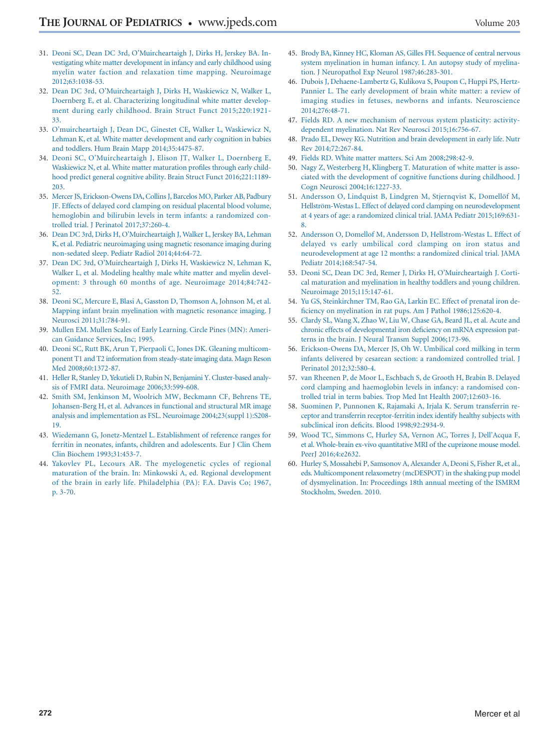- <span id="page-8-0"></span>31. [Deoni SC, Dean DC 3rd, O'Muircheartaigh J, Dirks H, Jerskey BA. In](http://refhub.elsevier.com/S0022-3476(18)30775-3S0022-3476(18)31079-5/sr0160)[vestigating white matter development in infancy and early childhood using](http://refhub.elsevier.com/S0022-3476(18)30775-3S0022-3476(18)31079-5/sr0160) [myelin water faction and relaxation time mapping. Neuroimage](http://refhub.elsevier.com/S0022-3476(18)30775-3S0022-3476(18)31079-5/sr0160) [2012;63:1038-53.](http://refhub.elsevier.com/S0022-3476(18)30775-3S0022-3476(18)31079-5/sr0160)
- 32. [Dean DC 3rd, O'Muircheartaigh J, Dirks H, Waskiewicz N, Walker L,](http://refhub.elsevier.com/S0022-3476(18)30775-3S0022-3476(18)31079-5/sr0165) [Doernberg E, et al. Characterizing longitudinal white matter develop](http://refhub.elsevier.com/S0022-3476(18)30775-3S0022-3476(18)31079-5/sr0165)[ment during early childhood. Brain Struct Funct 2015;220:1921-](http://refhub.elsevier.com/S0022-3476(18)30775-3S0022-3476(18)31079-5/sr0165) [33.](http://refhub.elsevier.com/S0022-3476(18)30775-3S0022-3476(18)31079-5/sr0165)
- <span id="page-8-1"></span>33. [O'muircheartaigh J, Dean DC, Ginestet CE, Walker L, Waskiewicz N,](http://refhub.elsevier.com/S0022-3476(18)30775-3S0022-3476(18)31079-5/sr0170) [Lehman K, et al. White matter development and early cognition in babies](http://refhub.elsevier.com/S0022-3476(18)30775-3S0022-3476(18)31079-5/sr0170) [and toddlers. Hum Brain Mapp 2014;35:4475-87.](http://refhub.elsevier.com/S0022-3476(18)30775-3S0022-3476(18)31079-5/sr0170)
- 34. [Deoni SC, O'Muircheartaigh J, Elison JT, Walker L, Doernberg E,](http://refhub.elsevier.com/S0022-3476(18)30775-3S0022-3476(18)31079-5/sr0175) [Waskiewicz N, et al. White matter maturation profiles through early child](http://refhub.elsevier.com/S0022-3476(18)30775-3S0022-3476(18)31079-5/sr0175)[hood predict general cognitive ability. Brain Struct Funct 2016;221:1189-](http://refhub.elsevier.com/S0022-3476(18)30775-3S0022-3476(18)31079-5/sr0175) [203.](http://refhub.elsevier.com/S0022-3476(18)30775-3S0022-3476(18)31079-5/sr0175)
- <span id="page-8-2"></span>35. [Mercer JS, Erickson-Owens DA, Collins J, Barcelos MO, Parker AB, Padbury](http://refhub.elsevier.com/S0022-3476(18)30775-3S0022-3476(18)31079-5/sr0180) [JF. Effects of delayed cord clamping on residual placental blood volume,](http://refhub.elsevier.com/S0022-3476(18)30775-3S0022-3476(18)31079-5/sr0180) [hemoglobin and bilirubin levels in term infants: a randomized con](http://refhub.elsevier.com/S0022-3476(18)30775-3S0022-3476(18)31079-5/sr0180)[trolled trial. J Perinatol 2017;37:260-4.](http://refhub.elsevier.com/S0022-3476(18)30775-3S0022-3476(18)31079-5/sr0180)
- <span id="page-8-3"></span>36. [Dean DC 3rd, Dirks H, O'Muircheartaigh J, Walker L, Jerskey BA, Lehman](http://refhub.elsevier.com/S0022-3476(18)30775-3S0022-3476(18)31079-5/sr0185) [K, et al. Pediatric neuroimaging using magnetic resonance imaging during](http://refhub.elsevier.com/S0022-3476(18)30775-3S0022-3476(18)31079-5/sr0185) [non-sedated sleep. Pediatr Radiol 2014;44:64-72.](http://refhub.elsevier.com/S0022-3476(18)30775-3S0022-3476(18)31079-5/sr0185)
- 37. [Dean DC 3rd, O'Muircheartaigh J, Dirks H, Waskiewicz N, Lehman K,](http://refhub.elsevier.com/S0022-3476(18)30775-3S0022-3476(18)31079-5/sr0190) [Walker L, et al. Modeling healthy male white matter and myelin devel](http://refhub.elsevier.com/S0022-3476(18)30775-3S0022-3476(18)31079-5/sr0190)[opment: 3 through 60 months of age. Neuroimage 2014;84:742-](http://refhub.elsevier.com/S0022-3476(18)30775-3S0022-3476(18)31079-5/sr0190) [52.](http://refhub.elsevier.com/S0022-3476(18)30775-3S0022-3476(18)31079-5/sr0190)
- 38. [Deoni SC, Mercure E, Blasi A, Gasston D, Thomson A, Johnson M, et al.](http://refhub.elsevier.com/S0022-3476(18)30775-3S0022-3476(18)31079-5/sr0195) [Mapping infant brain myelination with magnetic resonance imaging. J](http://refhub.elsevier.com/S0022-3476(18)30775-3S0022-3476(18)31079-5/sr0195) [Neurosci 2011;31:784-91.](http://refhub.elsevier.com/S0022-3476(18)30775-3S0022-3476(18)31079-5/sr0195)
- <span id="page-8-4"></span>39. [Mullen EM. Mullen Scales of Early Learning. Circle Pines \(MN\): Ameri](http://refhub.elsevier.com/S0022-3476(18)30775-3S0022-3476(18)31079-5/sr0200)[can Guidance Services, Inc; 1995.](http://refhub.elsevier.com/S0022-3476(18)30775-3S0022-3476(18)31079-5/sr0200)
- <span id="page-8-5"></span>40. [Deoni SC, Rutt BK, Arun T, Pierpaoli C, Jones DK. Gleaning multicom](http://refhub.elsevier.com/S0022-3476(18)30775-3S0022-3476(18)31079-5/sr0205)[ponent T1 and T2 information from steady-state imaging data. Magn Reson](http://refhub.elsevier.com/S0022-3476(18)30775-3S0022-3476(18)31079-5/sr0205) [Med 2008;60:1372-87.](http://refhub.elsevier.com/S0022-3476(18)30775-3S0022-3476(18)31079-5/sr0205)
- <span id="page-8-6"></span>41. [Heller R, Stanley D, Yekutieli D, Rubin N, Benjamini Y. Cluster-based analy](http://refhub.elsevier.com/S0022-3476(18)30775-3S0022-3476(18)31079-5/sr0210)[sis of FMRI data. Neuroimage 2006;33:599-608.](http://refhub.elsevier.com/S0022-3476(18)30775-3S0022-3476(18)31079-5/sr0210)
- 42. [Smith SM, Jenkinson M, Woolrich MW, Beckmann CF, Behrens TE,](http://refhub.elsevier.com/S0022-3476(18)30775-3S0022-3476(18)31079-5/sr0215) [Johansen-Berg H, et al. Advances in functional and structural MR image](http://refhub.elsevier.com/S0022-3476(18)30775-3S0022-3476(18)31079-5/sr0215) [analysis and implementation as FSL. Neuroimage 2004;23\(suppl 1\):S208-](http://refhub.elsevier.com/S0022-3476(18)30775-3S0022-3476(18)31079-5/sr0215) [19.](http://refhub.elsevier.com/S0022-3476(18)30775-3S0022-3476(18)31079-5/sr0215)
- <span id="page-8-7"></span>43. [Wiedemann G, Jonetz-Mentzel L. Establishment of reference ranges for](http://refhub.elsevier.com/S0022-3476(18)30775-3S0022-3476(18)31079-5/sr0220) [ferritin in neonates, infants, children and adolescents. Eur J Clin Chem](http://refhub.elsevier.com/S0022-3476(18)30775-3S0022-3476(18)31079-5/sr0220) [Clin Biochem 1993;31:453-7.](http://refhub.elsevier.com/S0022-3476(18)30775-3S0022-3476(18)31079-5/sr0220)
- <span id="page-8-8"></span>44. [Yakovlev PL, Lecours AR. The myelogenetic cycles of regional](http://refhub.elsevier.com/S0022-3476(18)30775-3S0022-3476(18)31079-5/sr0225) [maturation of the brain. In: Minkowski A, ed. Regional development](http://refhub.elsevier.com/S0022-3476(18)30775-3S0022-3476(18)31079-5/sr0225) [of the brain in early life. Philadelphia \(PA\): F.A. Davis Co; 1967,](http://refhub.elsevier.com/S0022-3476(18)30775-3S0022-3476(18)31079-5/sr0225) [p. 3-70.](http://refhub.elsevier.com/S0022-3476(18)30775-3S0022-3476(18)31079-5/sr0225)
- 45. [Brody BA, Kinney HC, Kloman AS, Gilles FH. Sequence of central nervous](http://refhub.elsevier.com/S0022-3476(18)30775-3S0022-3476(18)31079-5/sr0230) [system myelination in human infancy. I. An autopsy study of myelina](http://refhub.elsevier.com/S0022-3476(18)30775-3S0022-3476(18)31079-5/sr0230)[tion. J Neuropathol Exp Neurol 1987;46:283-301.](http://refhub.elsevier.com/S0022-3476(18)30775-3S0022-3476(18)31079-5/sr0230)
- <span id="page-8-11"></span>46. [Dubois J, Dehaene-Lambertz G, Kulikova S, Poupon C, Huppi PS, Hertz-](http://refhub.elsevier.com/S0022-3476(18)30775-3S0022-3476(18)31079-5/sr0235)[Pannier L. The early development of brain white matter: a review of](http://refhub.elsevier.com/S0022-3476(18)30775-3S0022-3476(18)31079-5/sr0235) [imaging studies in fetuses, newborns and infants. Neuroscience](http://refhub.elsevier.com/S0022-3476(18)30775-3S0022-3476(18)31079-5/sr0235) [2014;276:48-71.](http://refhub.elsevier.com/S0022-3476(18)30775-3S0022-3476(18)31079-5/sr0235)
- <span id="page-8-9"></span>47. [Fields RD. A new mechanism of nervous system plasticity: activity](http://refhub.elsevier.com/S0022-3476(18)30775-3S0022-3476(18)31079-5/sr0240)[dependent myelination. Nat Rev Neurosci 2015;16:756-67.](http://refhub.elsevier.com/S0022-3476(18)30775-3S0022-3476(18)31079-5/sr0240)
- 48. [Prado EL, Dewey KG. Nutrition and brain development in early life. Nutr](http://refhub.elsevier.com/S0022-3476(18)30775-3S0022-3476(18)31079-5/sr0245) [Rev 2014;72:267-84.](http://refhub.elsevier.com/S0022-3476(18)30775-3S0022-3476(18)31079-5/sr0245)
- <span id="page-8-10"></span>49. [Fields RD. White matter matters. Sci Am 2008;298:42-9.](http://refhub.elsevier.com/S0022-3476(18)30775-3S0022-3476(18)31079-5/sr0250)
- 50. [Nagy Z, Westerberg H, Klingberg T. Maturation of white matter is asso](http://refhub.elsevier.com/S0022-3476(18)30775-3S0022-3476(18)31079-5/sr0255)[ciated with the development of cognitive functions during childhood. J](http://refhub.elsevier.com/S0022-3476(18)30775-3S0022-3476(18)31079-5/sr0255) [Cogn Neurosci 2004;16:1227-33.](http://refhub.elsevier.com/S0022-3476(18)30775-3S0022-3476(18)31079-5/sr0255)
- <span id="page-8-12"></span>51. [Andersson O, Lindquist B, Lindgren M, Stjernqvist K, Domellöf M,](http://refhub.elsevier.com/S0022-3476(18)30775-3S0022-3476(18)31079-5/sr0260) [Hellström-Westas L. Effect of delayed cord clamping on neurodevelopment](http://refhub.elsevier.com/S0022-3476(18)30775-3S0022-3476(18)31079-5/sr0260) [at 4 years of age: a randomized clinical trial. JAMA Pediatr 2015;169:631-](http://refhub.elsevier.com/S0022-3476(18)30775-3S0022-3476(18)31079-5/sr0260) [8.](http://refhub.elsevier.com/S0022-3476(18)30775-3S0022-3476(18)31079-5/sr0260)
- 52. [Andersson O, Domellof M, Andersson D, Hellstrom-Westas L. Effect of](http://refhub.elsevier.com/S0022-3476(18)30775-3S0022-3476(18)31079-5/sr0265) [delayed vs early umbilical cord clamping on iron status and](http://refhub.elsevier.com/S0022-3476(18)30775-3S0022-3476(18)31079-5/sr0265) [neurodevelopment at age 12 months: a randomized clinical trial. JAMA](http://refhub.elsevier.com/S0022-3476(18)30775-3S0022-3476(18)31079-5/sr0265) [Pediatr 2014;168:547-54.](http://refhub.elsevier.com/S0022-3476(18)30775-3S0022-3476(18)31079-5/sr0265)
- <span id="page-8-13"></span>53. [Deoni SC, Dean DC 3rd, Remer J, Dirks H, O'Muircheartaigh J. Corti](http://refhub.elsevier.com/S0022-3476(18)30775-3S0022-3476(18)31079-5/sr0270)[cal maturation and myelination in healthy toddlers and young children.](http://refhub.elsevier.com/S0022-3476(18)30775-3S0022-3476(18)31079-5/sr0270) [Neuroimage 2015;115:147-61.](http://refhub.elsevier.com/S0022-3476(18)30775-3S0022-3476(18)31079-5/sr0270)
- 54. [Yu GS, Steinkirchner TM, Rao GA, Larkin EC. Effect of prenatal iron de](http://refhub.elsevier.com/S0022-3476(18)30775-3S0022-3476(18)31079-5/sr0275)[ficiency on myelination in rat pups. Am J Pathol 1986;125:620-4.](http://refhub.elsevier.com/S0022-3476(18)30775-3S0022-3476(18)31079-5/sr0275)
- <span id="page-8-14"></span>55. [Clardy SL, Wang X, Zhao W, Liu W, Chase GA, Beard JL, et al. Acute and](http://refhub.elsevier.com/S0022-3476(18)30775-3S0022-3476(18)31079-5/sr0280) [chronic effects of developmental iron deficiency on mRNA expression pat](http://refhub.elsevier.com/S0022-3476(18)30775-3S0022-3476(18)31079-5/sr0280)[terns in the brain. J Neural Transm Suppl 2006;173-96.](http://refhub.elsevier.com/S0022-3476(18)30775-3S0022-3476(18)31079-5/sr0280)
- <span id="page-8-15"></span>56. [Erickson-Owens DA, Mercer JS, Oh W. Umbilical cord milking in term](http://refhub.elsevier.com/S0022-3476(18)30775-3S0022-3476(18)31079-5/sr0285) [infants delivered by cesarean section: a randomized controlled trial. J](http://refhub.elsevier.com/S0022-3476(18)30775-3S0022-3476(18)31079-5/sr0285) [Perinatol 2012;32:580-4.](http://refhub.elsevier.com/S0022-3476(18)30775-3S0022-3476(18)31079-5/sr0285)
- 57. [van Rheenen P, de Moor L, Eschbach S, de Grooth H, Brabin B. Delayed](http://refhub.elsevier.com/S0022-3476(18)30775-3S0022-3476(18)31079-5/sr0290) [cord clamping and haemoglobin levels in infancy: a randomised con](http://refhub.elsevier.com/S0022-3476(18)30775-3S0022-3476(18)31079-5/sr0290)[trolled trial in term babies. Trop Med Int Health 2007;12:603-16.](http://refhub.elsevier.com/S0022-3476(18)30775-3S0022-3476(18)31079-5/sr0290)
- <span id="page-8-16"></span>58. [Suominen P, Punnonen K, Rajamaki A, Irjala K. Serum transferrin re](http://refhub.elsevier.com/S0022-3476(18)30775-3S0022-3476(18)31079-5/sr0295)[ceptor and transferrin receptor-ferritin index identify healthy subjects with](http://refhub.elsevier.com/S0022-3476(18)30775-3S0022-3476(18)31079-5/sr0295) [subclinical iron deficits. Blood 1998;92:2934-9.](http://refhub.elsevier.com/S0022-3476(18)30775-3S0022-3476(18)31079-5/sr0295)
- <span id="page-8-17"></span>59. [Wood TC, Simmons C, Hurley SA, Vernon AC, Torres J, Dell'Acqua F,](http://refhub.elsevier.com/S0022-3476(18)30775-3S0022-3476(18)31079-5/sr0300) [et al. Whole-brain ex-vivo quantitative MRI of the cuprizone mouse model.](http://refhub.elsevier.com/S0022-3476(18)30775-3S0022-3476(18)31079-5/sr0300) Peer<sub>I</sub> 2016;4:e2632.
- 60. [Hurley S, Mossahebi P, Samsonov A, Alexander A, Deoni S, Fisher R, et al.,](http://refhub.elsevier.com/S0022-3476(18)30775-3S0022-3476(18)31079-5/sr0305) [eds. Multicomponent relaxometry \(mcDESPOT\) in the shaking pup model](http://refhub.elsevier.com/S0022-3476(18)30775-3S0022-3476(18)31079-5/sr0305) [of dysmyelination. In: Proceedings 18th annual meeting of the ISMRM](http://refhub.elsevier.com/S0022-3476(18)30775-3S0022-3476(18)31079-5/sr0305) [Stockholm, Sweden. 2010.](http://refhub.elsevier.com/S0022-3476(18)30775-3S0022-3476(18)31079-5/sr0305)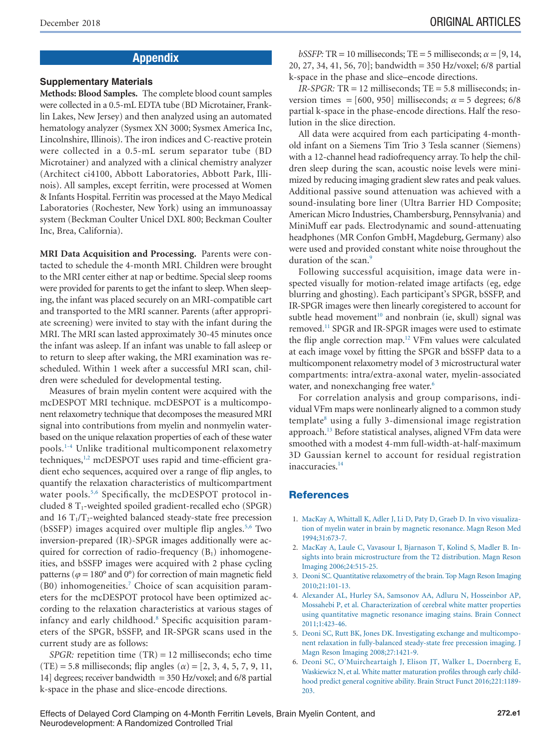# Appendix

#### **Supplementary Materials**

**Methods: Blood Samples.** The complete blood count samples were collected in a 0.5-mL EDTA tube (BD Microtainer, Franklin Lakes, New Jersey) and then analyzed using an automated hematology analyzer (Sysmex XN 3000; Sysmex America Inc, Lincolnshire, Illinois). The iron indices and C-reactive protein were collected in a 0.5-mL serum separator tube (BD Microtainer) and analyzed with a clinical chemistry analyzer (Architect ci4100, Abbott Laboratories, Abbott Park, Illinois). All samples, except ferritin, were processed at Women & Infants Hospital. Ferritin was processed at the Mayo Medical Laboratories (Rochester, New York) using an immunoassay system (Beckman Coulter Unicel DXL 800; Beckman Coulter Inc, Brea, California).

**MRI Data Acquisition and Processing.** Parents were contacted to schedule the 4-month MRI. Children were brought to the MRI center either at nap or bedtime. Special sleep rooms were provided for parents to get the infant to sleep.When sleeping, the infant was placed securely on an MRI-compatible cart and transported to the MRI scanner. Parents (after appropriate screening) were invited to stay with the infant during the MRI. The MRI scan lasted approximately 30-45 minutes once the infant was asleep. If an infant was unable to fall asleep or to return to sleep after waking, the MRI examination was rescheduled. Within 1 week after a successful MRI scan, children were scheduled for developmental testing.

Measures of brain myelin content were acquired with the mcDESPOT MRI technique. mcDESPOT is a multicomponent relaxometry technique that decomposes the measured MRI signal into contributions from myelin and nonmyelin waterbased on the unique relaxation properties of each of these water pools[.1-4](#page-7-0) Unlike traditional multicomponent relaxometry techniques,<sup>1,2</sup> mcDESPOT uses rapid and time-efficient gradient echo sequences, acquired over a range of flip angles, to quantify the relaxation characteristics of multicompartment water pools.<sup>5,6</sup> Specifically, the mcDESPOT protocol included 8  $T_1$ -weighted spoiled gradient-recalled echo (SPGR) and 16  $T_1/T_2$ -weighted balanced steady-state free precession (bSSFP) images acquired over multiple flip angles.<sup>5,6</sup> Two inversion-prepared (IR)-SPGR images additionally were acquired for correction of radio-frequency  $(B_1)$  inhomogeneities, and bSSFP images were acquired with 2 phase cycling patterns ( $\varphi = 180^\circ$  and 0°) for correction of main magnetic field  $(B0)$  inhomogeneities.<sup>7</sup> Choice of scan acquisition parameters for the mcDESPOT protocol have been optimized according to the relaxation characteristics at various stages of infancy and early childhood.<sup>8</sup> Specific acquisition parameters of the SPGR, bSSFP, and IR-SPGR scans used in the current study are as follows:

*SPGR:* repetition time (TR) = 12 milliseconds; echo time (TE) = 5.8 milliseconds; flip angles ( $\alpha$ ) = [2, 3, 4, 5, 7, 9, 11, 14] degrees; receiver bandwidth  $=$  350 Hz/voxel; and 6/8 partial k-space in the phase and slice-encode directions.

*bSSFP*: TR = 10 milliseconds; TE = 5 milliseconds;  $\alpha$  = [9, 14, 20, 27, 34, 41, 56, 70]; bandwidth = 350 Hz/voxel; 6/8 partial k-space in the phase and slice–encode directions.

*IR-SPGR:* TR = 12 milliseconds; TE = 5.8 milliseconds; inversion times = [600, 950] milliseconds;  $\alpha$  = 5 degrees; 6/8 partial k-space in the phase-encode directions. Half the resolution in the slice direction.

All data were acquired from each participating 4-monthold infant on a Siemens Tim Trio 3 Tesla scanner (Siemens) with a 12-channel head radiofrequency array. To help the children sleep during the scan, acoustic noise levels were minimized by reducing imaging gradient slew rates and peak values. Additional passive sound attenuation was achieved with a sound-insulating bore liner (Ultra Barrier HD Composite; American Micro Industries, Chambersburg, Pennsylvania) and MiniMuff ear pads. Electrodynamic and sound-attenuating headphones (MR Confon GmbH, Magdeburg, Germany) also were used and provided constant white noise throughout the duration of the scan.<sup>9</sup>

Following successful acquisition, image data were inspected visually for motion-related image artifacts (eg, edge blurring and ghosting). Each participant's SPGR, bSSFP, and IR-SPGR images were then linearly coregistered to account for subtle head movement<sup>10</sup> and nonbrain (ie, skull) signal was removed[.11](#page-7-18) SPGR and IR-SPGR images were used to estimate the flip angle correction map.<sup>12</sup> VFm values were calculated at each image voxel by fitting the SPGR and bSSFP data to a multicomponent relaxometry model of 3 microstructural water compartments: intra/extra-axonal water, myelin-associated water, and nonexchanging free water.<sup>6</sup>

For correlation analysis and group comparisons, individual VFm maps were nonlinearly aligned to a common study  $template<sup>8</sup>$  using a fully 3-dimensional image registration approach[.13](#page-7-4) Before statistical analyses, aligned VFm data were smoothed with a modest 4-mm full-width-at-half-maximum 3D Gaussian kernel to account for residual registration inaccuracies.<sup>14</sup>

## **References**

- 1. [MacKay A, Whittall K, Adler J, Li D, Paty D, Graeb D. In vivo visualiza](http://refhub.elsevier.com/S0022-3476(18)30775-3S0022-3476(18)31079-5/sr0310)[tion of myelin water in brain by magnetic resonance. Magn Reson Med](http://refhub.elsevier.com/S0022-3476(18)30775-3S0022-3476(18)31079-5/sr0310) [1994;31:673-7.](http://refhub.elsevier.com/S0022-3476(18)30775-3S0022-3476(18)31079-5/sr0310)
- 2. [MacKay A, Laule C, Vavasour I, Bjarnason T, Kolind S, Madler B. In](http://refhub.elsevier.com/S0022-3476(18)30775-3S0022-3476(18)31079-5/sr0315)[sights into brain microstructure from the T2 distribution. Magn Reson](http://refhub.elsevier.com/S0022-3476(18)30775-3S0022-3476(18)31079-5/sr0315) [Imaging 2006;24:515-25.](http://refhub.elsevier.com/S0022-3476(18)30775-3S0022-3476(18)31079-5/sr0315)
- 3. [Deoni SC. Quantitative relaxometry of the brain. Top Magn Reson Imaging](http://refhub.elsevier.com/S0022-3476(18)30775-3S0022-3476(18)31079-5/sr0320) [2010;21:101-13.](http://refhub.elsevier.com/S0022-3476(18)30775-3S0022-3476(18)31079-5/sr0320)
- 4. [Alexander AL, Hurley SA, Samsonov AA, Adluru N, Hosseinbor AP,](http://refhub.elsevier.com/S0022-3476(18)30775-3S0022-3476(18)31079-5/sr0325) [Mossahebi P, et al. Characterization of cerebral white matter properties](http://refhub.elsevier.com/S0022-3476(18)30775-3S0022-3476(18)31079-5/sr0325) [using quantitative magnetic resonance imaging stains. Brain Connect](http://refhub.elsevier.com/S0022-3476(18)30775-3S0022-3476(18)31079-5/sr0325) [2011;1:423-46.](http://refhub.elsevier.com/S0022-3476(18)30775-3S0022-3476(18)31079-5/sr0325)
- 5. [Deoni SC, Rutt BK, Jones DK. Investigating exchange and multicompo](http://refhub.elsevier.com/S0022-3476(18)30775-3S0022-3476(18)31079-5/sr0330)[nent relaxation in fully-balanced steady-state free precession imaging. J](http://refhub.elsevier.com/S0022-3476(18)30775-3S0022-3476(18)31079-5/sr0330) [Magn Reson Imaging 2008;27:1421-9.](http://refhub.elsevier.com/S0022-3476(18)30775-3S0022-3476(18)31079-5/sr0330)
- 6. [Deoni SC, O'Muircheartaigh J, Elison JT, Walker L, Doernberg E,](http://refhub.elsevier.com/S0022-3476(18)30775-3S0022-3476(18)31079-5/sr0335) [Waskiewicz N, et al. White matter maturation profiles through early child](http://refhub.elsevier.com/S0022-3476(18)30775-3S0022-3476(18)31079-5/sr0335)[hood predict general cognitive ability. Brain Struct Funct 2016;221:1189-](http://refhub.elsevier.com/S0022-3476(18)30775-3S0022-3476(18)31079-5/sr0335) [203.](http://refhub.elsevier.com/S0022-3476(18)30775-3S0022-3476(18)31079-5/sr0335)